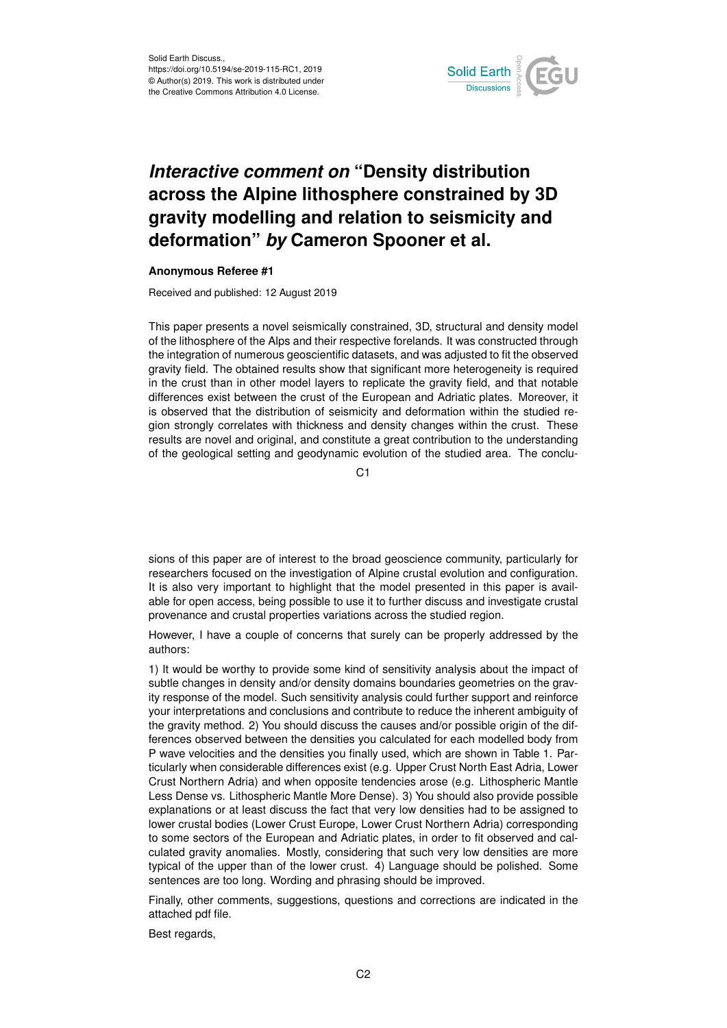

## *Interactive comment on* **"Density distribution across the Alpine lithosphere constrained by 3D gravity modelling and relation to seismicity and deformation"** *by* **Cameron Spooner et al.**

## **Anonymous Referee #1**

Received and published: 12 August 2019

This paper presents a novel seismically constrained, 3D, structural and density model of the lithosphere of the Alps and their respective forelands. It was constructed through the integration of numerous geoscientific datasets, and was adjusted to fit the observed gravity field. The obtained results show that significant more heterogeneity is required in the crust than in other model layers to replicate the gravity field, and that notable differences exist between the crust of the European and Adriatic plates. Moreover, it is observed that the distribution of seismicity and deformation within the studied region strongly correlates with thickness and density changes within the crust. These results are novel and original, and constitute a great contribution to the understanding of the geological setting and geodynamic evolution of the studied area. The conclu-

C<sub>1</sub>

sions of this paper are of interest to the broad geoscience community, particularly for researchers focused on the investigation of Alpine crustal evolution and configuration. It is also very important to highlight that the model presented in this paper is available for open access, being possible to use it to further discuss and investigate crustal provenance and crustal properties variations across the studied region.

However, I have a couple of concerns that surely can be properly addressed by the authors:

1) It would be worthy to provide some kind of sensitivity analysis about the impact of subtle changes in density and/or density domains boundaries geometries on the gravity response of the model. Such sensitivity analysis could further support and reinforce your interpretations and conclusions and contribute to reduce the inherent ambiguity of the gravity method. 2) You should discuss the causes and/or possible origin of the differences observed between the densities you calculated for each modelled body from P wave velocities and the densities you finally used, which are shown in Table 1. Particularly when considerable differences exist (e.g. Upper Crust North East Adria, Lower Crust Northern Adria) and when opposite tendencies arose (e.g. Lithospheric Mantle Less Dense vs. Lithospheric Mantle More Dense). 3) You should also provide possible explanations or at least discuss the fact that very low densities had to be assigned to lower crustal bodies (Lower Crust Europe, Lower Crust Northern Adria) corresponding to some sectors of the European and Adriatic plates, in order to fit observed and calculated gravity anomalies. Mostly, considering that such very low densities are more typical of the upper than of the lower crust. 4) Language should be polished. Some sentences are too long. Wording and phrasing should be improved.

Finally, other comments, suggestions, questions and corrections are indicated in the attached pdf file.

Best regards,